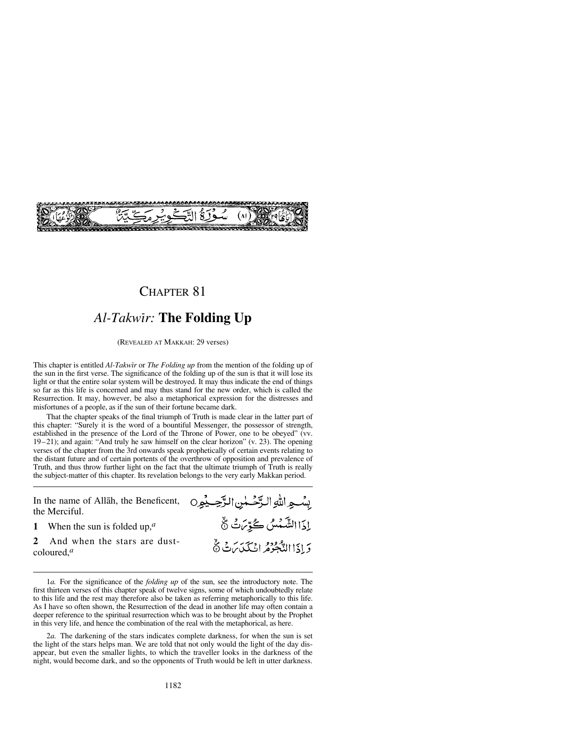

## *Al-Takwßr:* **The Folding Up**

(REVEALED AT MAKKAH: 29 verses)

This chapter is entitled *Al-Takwir* or *The Folding up* from the mention of the folding up of the sun in the first verse. The significance of the folding up of the sun is that it will lose its light or that the entire solar system will be destroyed. It may thus indicate the end of things so far as this life is concerned and may thus stand for the new order, which is called the Resurrection. It may, however, be also a metaphorical expression for the distresses and misfortunes of a people, as if the sun of their fortune became dark.

That the chapter speaks of the final triumph of Truth is made clear in the latter part of this chapter: "Surely it is the word of a bountiful Messenger, the possessor of strength, established in the presence of the Lord of the Throne of Power, one to be obeyed" (vv. 19–21); and again: "And truly he saw himself on the clear horizon" (v. 23). The opening verses of the chapter from the 3rd onwards speak prophetically of certain events relating to the distant future and of certain portents of the overthrow of opposition and prevalence of Truth, and thus throw further light on the fact that the ultimate triumph of Truth is really the subject-matter of this chapter. Its revelation belongs to the very early Makkan period.

| In the name of Allāh, the Beneficent, ويُصْحِبُون Jn the name of Allāh, the Beneficent,<br>the Merciful. |                                            |
|----------------------------------------------------------------------------------------------------------|--------------------------------------------|
| 1 When the sun is folded up, <sup><math>a</math></sup>                                                   | إِذَا الشَّمْسُ كُوِّرَتْ نَّ              |
| 2 And when the stars are dust-<br>coloured, <sup><math>a</math></sup>                                    | دَ إِذَا الدَّهُودُ إِنَّ لَمَكَّدَيْنَ ثَ |

1*a.* For the significance of the *folding up* of the sun, see the introductory note. The first thirteen verses of this chapter speak of twelve signs, some of which undoubtedly relate to this life and the rest may therefore also be taken as referring metaphorically to this life. As I have so often shown, the Resurrection of the dead in another life may often contain a deeper reference to the spiritual resurrection which was to be brought about by the Prophet in this very life, and hence the combination of the real with the metaphorical, as here.

2*a.* The darkening of the stars indicates complete darkness, for when the sun is set the light of the stars helps man. We are told that not only would the light of the day disappear, but even the smaller lights, to which the traveller looks in the darkness of the night, would become dark, and so the opponents of Truth would be left in utter darkness.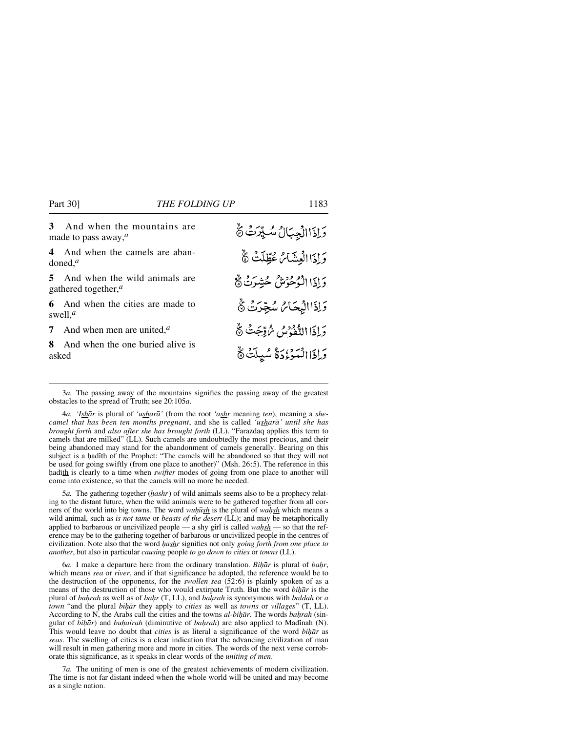| 3<br>made to pass away, $^a$     | And when the mountains are        | وَإِذَاالْجِبَالُ سُبِّرَتُ وَّ     |
|----------------------------------|-----------------------------------|-------------------------------------|
| doned. <sup><math>a</math></sup> | 4 And when the camels are aban-   | وَإِذَا الْعِشَائِ عُطِّلَتْ ﴾      |
| gathered together, $a$           | 5 And when the wild animals are   | دَاذَا الْمُحْوَمِثْنُ حُشِدَتْ هُ  |
| swell. <sup><math>a</math></sup> | 6 And when the cities are made to | وَإِذَا الْبُحَامُ سُجِّرَتْ ﴾      |
|                                  | 7 And when men are united, $a$    | رَاذَا الدُّفْدُسُ يُرْتِّبِتُ ۞    |
| 8.<br>asked                      | And when the one buried alive is  | وَإِذَا الْمَوْءُدَةُ سُيِلَتْ $\%$ |

3*a.* The passing away of the mountains signifies the passing away of the greatest obstacles to the spread of Truth; see 20:105*a*.

4*a. 'Ishår* is plural of *'usharå'* (from the root *'ashr* meaning *ten*), meaning a *shecamel that has been ten months pregnant*, and she is called *'usharå' until she has brought forth* and *also after she has brought forth* (LL). "Farazdaq applies this term to camels that are milked" (LL). Such camels are undoubtedly the most precious, and their being abandoned may stand for the abandonment of camels generally. Bearing on this subject is a hadith of the Prophet: "The camels will be abandoned so that they will not be used for going swiftly (from one place to another)" (Msh. 26:5). The reference in this hadith is clearly to a time when *swifter* modes of going from one place to another will come into existence, so that the camels will no more be needed.

5*a*. The gathering together (*hashr*) of wild animals seems also to be a prophecy relating to the distant future, when the wild animals were to be gathered together from all corners of the world into big towns. The word *wuhūsh* is the plural of *wahsh* which means a wild animal, such as *is not tame* or *beasts of the desert* (LL); and may be metaphorically applied to barbarous or uncivilized people — a shy girl is called *wahsh* — so that the reference may be to the gathering together of barbarous or uncivilized people in the centres of civilization. Note also that the word *√ashr* signifies not only *going forth from one place to another*, but also in particular *causing* people *to go down to cities* or *towns* (LL).

6*a.* I make a departure here from the ordinary translation. *BiÌr* is plural of *ba√r*, which means *sea* or *river*, and if that significance be adopted, the reference would be to the destruction of the opponents, for the *swollen sea* (52:6) is plainly spoken of as a means of the destruction of those who would extirpate Truth. But the word *biÌr* is the plural of *ba√rah* as well as of *ba√r* (T, LL), and *baƒrah* is synonymous with *baldah* or *a town* "and the plural *bihār* they apply to *cities* as well as *towns* or *villages*" (T, LL). According to N, the Arabs call the cities and the towns *al-bihar*. The words *bahrah* (singular of *bihar*) and *buhairah* (diminutive of *bahrah*) are also applied to Madinah (N). This would leave no doubt that *cities* is as literal a significance of the word *bihar* as *seas*. The swelling of cities is a clear indication that the advancing civilization of man will result in men gathering more and more in cities. The words of the next verse corroborate this significance, as it speaks in clear words of the *uniting of men*.

7*a.* The uniting of men is one of the greatest achievements of modern civilization. The time is not far distant indeed when the whole world will be united and may become as a single nation.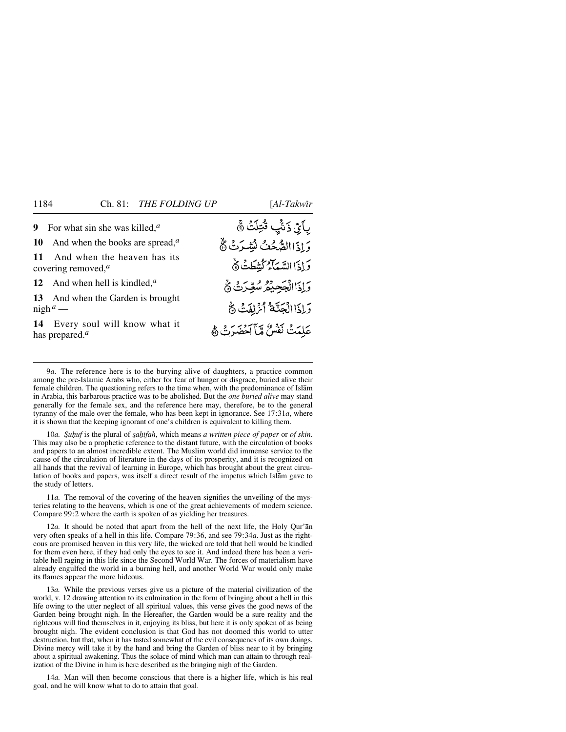| 9 For what sin she was killed, $a$                                   | بِأَيِّ ذَنَّبِ قُتِلَتْ ۞        |
|----------------------------------------------------------------------|-----------------------------------|
| 10 And when the books are spread, $a$                                | وَإِذَاالصُّحُفُ لَيْتِبَرِتْ ﴾   |
| 11 And when the heaven has its<br>covering removed, $^a$             | وَإِذَا السَّيَاءُ كَيْنَطَتْ ﴾   |
| 12 And when hell is kindled, $a$                                     | وَإِذَاالْجَحِيْفِرُ سُعِّرَتْ ﴾  |
| 13 And when the Garden is brought<br>$\frac{\text{night}}{a}$ —      | وَإِذَا الْجَنَّةُ أَنْرَافَتْ هُ |
| 14 Every soul will know what it<br>has prepared. <sup><i>a</i></sup> | عَلِمَتْ نَفْسٌ مِّأَآخَضَرَتْ ﴾  |

9*a.* The reference here is to the burying alive of daughters, a practice common among the pre-Islamic Arabs who, either for fear of hunger or disgrace, buried alive their female children. The questioning refers to the time when, with the predominance of Islåm in Arabia, this barbarous practice was to be abolished. But the *one buried alive* may stand generally for the female sex, and the reference here may, therefore, be to the general tyranny of the male over the female, who has been kept in ignorance. See 17:31*a*, where it is shown that the keeping ignorant of one's children is equivalent to killing them.

10*a. Şuḥuf* is the plural of *şaḥifah*, which means *a written piece of paper* or *of skin*. This may also be a prophetic reference to the distant future, with the circulation of books and papers to an almost incredible extent. The Muslim world did immense service to the cause of the circulation of literature in the days of its prosperity, and it is recognized on all hands that the revival of learning in Europe, which has brought about the great circulation of books and papers, was itself a direct result of the impetus which Islåm gave to the study of letters.

11*a.* The removal of the covering of the heaven signifies the unveiling of the mysteries relating to the heavens, which is one of the great achievements of modern science. Compare 99:2 where the earth is spoken of as yielding her treasures.

12*a.* It should be noted that apart from the hell of the next life, the Holy Qur'ån very often speaks of a hell in this life. Compare 79:36, and see 79:34*a*. Just as the righteous are promised heaven in this very life, the wicked are told that hell would be kindled for them even here, if they had only the eyes to see it. And indeed there has been a veritable hell raging in this life since the Second World War. The forces of materialism have already engulfed the world in a burning hell, and another World War would only make its flames appear the more hideous.

13*a.* While the previous verses give us a picture of the material civilization of the world, v. 12 drawing attention to its culmination in the form of bringing about a hell in this life owing to the utter neglect of all spiritual values, this verse gives the good news of the Garden being brought nigh. In the Hereafter, the Garden would be a sure reality and the righteous will find themselves in it, enjoying its bliss, but here it is only spoken of as being brought nigh. The evident conclusion is that God has not doomed this world to utter destruction, but that, when it has tasted somewhat of the evil consequencs of its own doings, Divine mercy will take it by the hand and bring the Garden of bliss near to it by bringing about a spiritual awakening. Thus the solace of mind which man can attain to through realization of the Divine in him is here described as the bringing nigh of the Garden.

14*a.* Man will then become conscious that there is a higher life, which is his real goal, and he will know what to do to attain that goal.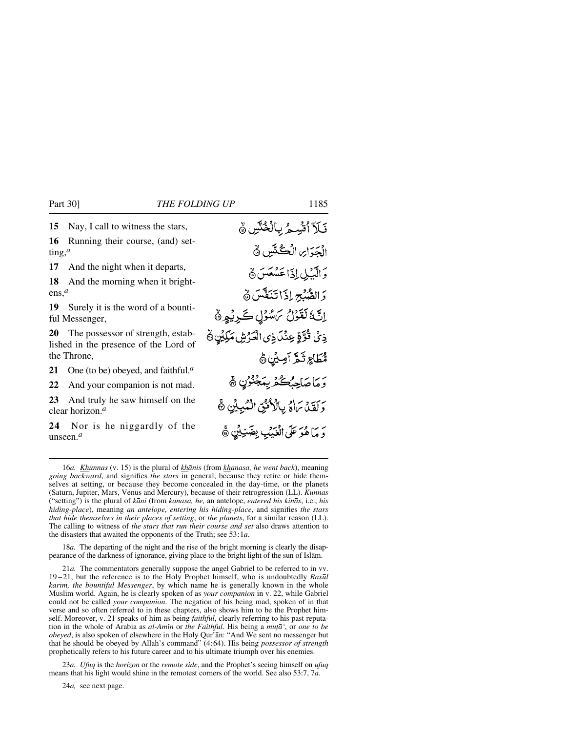**15** Nay, I call to witness the stars,

**16** Running their course, (and) setting,*<sup>a</sup>*

**17** And the night when it departs,

**18** And the morning when it brightens,*<sup>a</sup>*

**19** Surely it is the word of a bountiful Messenger,

**20** The possessor of strength, established in the presence of the Lord of the Throne,

**21** One (to be) obeyed, and faithful.*<sup>a</sup>*

**22** And your companion is not mad.

**23** And truly he saw himself on the clear horizon.*<sup>a</sup>*

**24** Nor is he niggardly of the unseen.*<sup>a</sup>*

نَكَرَ ٱتَّسِيمُ بِالْخُنَّينِ ﴾ الْجَرَاسِ الْكُنْتَيْنِ ۞ وَالَّبْلِ إِذَا عَسْعَسَ ﴾ وَالصَّبِّحِ إِذَا تَنَفَّسَ هَ إِنَّهُ لَقَوْلُ مَسُوُلٍ كَرِيْمٍ ﴾ ذِي قُرَّةٍ عِنْدَ ذِي الْعَرْشِ مَكِيْنِ هُ مُّطَاعٍ ثَمَّ آمِيْنِ ﴾ رَ مَا صَاحِبُكُمْ بِمَجْنُوْنِ ﴾ وَلَقَدْ يَرَاهُ بِالْأَكْثِنَ الْمُبِينِ ﴾ وَ مَا هُوَ عَلَى الْعَيْبِ بِضَنِيْنٍ ﴾

18*a.* The departing of the night and the rise of the bright morning is clearly the disappearance of the darkness of ignorance, giving place to the bright light of the sun of Islåm.

21*a.* The commentators generally suppose the angel Gabriel to be referred to in vv. 19 –21, but the reference is to the Holy Prophet himself, who is undoubtedly *Ras∂l karim, the bountiful Messenger*, by which name he is generally known in the whole Muslim world. Again, he is clearly spoken of as *your companion* in v. 22, while Gabriel could not be called *your companion*. The negation of his being mad, spoken of in that verse and so often referred to in these chapters, also shows him to be the Prophet himself. Moreover, v. 21 speaks of him as being *faithful*, clearly referring to his past reputation in the whole of Arabia as *al-Amßn* or *the Faithful*. His being a *muƌ'*, or *one to be obeyed*, is also spoken of elsewhere in the Holy Qur'ån: "And We sent no messenger but that he should be obeyed by Allåh's command" (4:64). His being *possessor of strength* prophetically refers to his future career and to his ultimate triumph over his enemies.

23*a. Ufuq* is the *horizon* or the *remote side*, and the Prophet's seeing himself on *ufuq* means that his light would shine in the remotest corners of the world. See also 53:7, 7*a*.

24*a,* see next page.

<sup>16</sup>*a. Khunnas* (v. 15) is the plural of *khånis* (from *khanasa, he went back*), meaning *going backward*, and signifies *the stars* in general, because they retire or hide themselves at setting, or because they become concealed in the day-time, or the planets (Saturn, Jupiter, Mars, Venus and Mercury), because of their retrogression (LL). *Kunnas* ("setting") is the plural of *kåni* (from *kanasa, he,* an antelope, *entered his kinås*, i.e., *his hiding-place*), meaning *an antelope, entering his hiding-place*, and signifies *the stars that hide themselves in their places of setting*, or *the planets*, for a similar reason (LL). The calling to witness of *the stars that run their course and set* also draws attention to the disasters that awaited the opponents of the Truth; see 53:1*a*.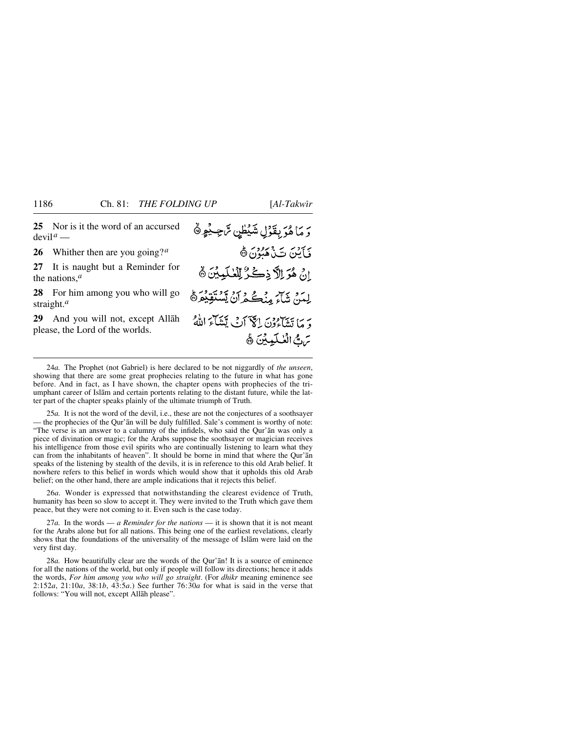**25** Nor is it the word of an accursed  $devi1<sup>a</sup>$  —

**26** Whither then are you going?*<sup>a</sup>*

**27** It is naught but a Reminder for the nations,*<sup>a</sup>*

**28** For him among you who will go straight.*<sup>a</sup>*

**29** And you will not, except Allåh please, the Lord of the worlds.

وَ مَا هُوَ بِقَوْلِ شَيْطْنٍ تَّاجِيْهِ ۞ فَأَيْنَ تَذَكَّبُوْنَ ﴾ إِنْ هُوَ اِلَّا ذِكْرٌ لِلْعُلَمِينَ ﴾ لِيَدَ، شَآءَ مِنْڪُمْ أَنْ يَسْتَقِيْعَرْهُ دير تي تي وون الكرّاني يَتَتَأْمَ اللَّهُ تَنَ الْعُلَيْيِنَ ﴾

24*a.* The Prophet (not Gabriel) is here declared to be not niggardly of *the unseen*, showing that there are some great prophecies relating to the future in what has gone before. And in fact, as I have shown, the chapter opens with prophecies of the triumphant career of Islåm and certain portents relating to the distant future, while the latter part of the chapter speaks plainly of the ultimate triumph of Truth.

25*a.* It is not the word of the devil, i.e., these are not the conjectures of a soothsayer — the prophecies of the Qur'ån will be duly fulfilled. Sale's comment is worthy of note: "The verse is an answer to a calumny of the infidels, who said the Qur'ån was only a piece of divination or magic; for the Arabs suppose the soothsayer or magician receives his intelligence from those evil spirits who are continually listening to learn what they can from the inhabitants of heaven". It should be borne in mind that where the Qur'ån speaks of the listening by stealth of the devils, it is in reference to this old Arab belief. It nowhere refers to this belief in words which would show that it upholds this old Arab belief; on the other hand, there are ample indications that it rejects this belief.

26*a.* Wonder is expressed that notwithstanding the clearest evidence of Truth, humanity has been so slow to accept it. They were invited to the Truth which gave them peace, but they were not coming to it. Even such is the case today.

27*a.* In the words — *a Reminder for the nations* — it is shown that it is not meant for the Arabs alone but for all nations. This being one of the earliest revelations, clearly shows that the foundations of the universality of the message of Islåm were laid on the very first day.

28*a.* How beautifully clear are the words of the Qur'ån! It is a source of eminence for all the nations of the world, but only if people will follow its directions; hence it adds the words, *For him among you who will go straight*. (For *dhikr* meaning eminence see 2:152*a*, 21:10*a*, 38:1*b*, 43:5*a*.) See further 76:30*a* for what is said in the verse that follows: "You will not, except Allåh please".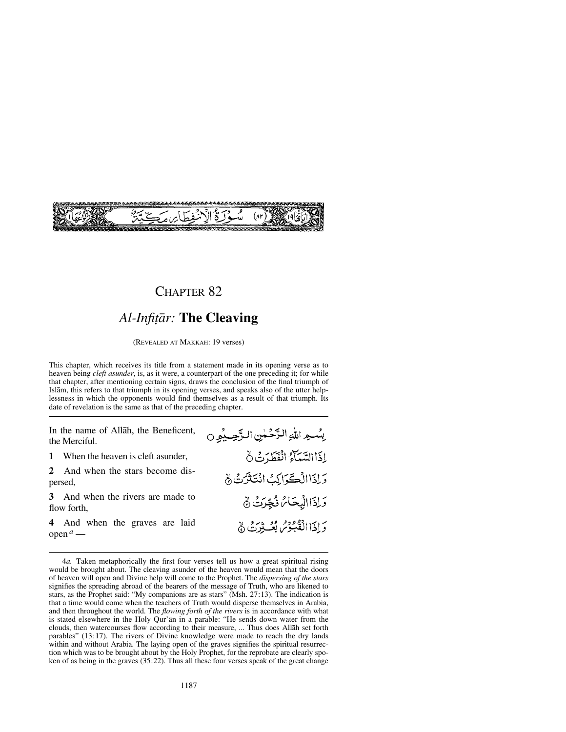

## *Al-Infiƌr:* **The Cleaving**

(REVEALED AT MAKKAH: 19 verses)

This chapter, which receives its title from a statement made in its opening verse as to heaven being *cleft asunder*, is, as it were, a counterpart of the one preceding it; for while that chapter, after mentioning certain signs, draws the conclusion of the final triumph of Islåm, this refers to that triumph in its opening verses, and speaks also of the utter helplessness in which the opponents would find themselves as a result of that triumph. Its date of revelation is the same as that of the preceding chapter.

In the name of Allåh, the Beneficent, the Merciful.

- **1** When the heaven is cleft asunder,<br>**2** And when the stars become di
- **2** And when the stars become dispersed,
- **3** And when the rivers are made to flow forth,
- **4** And when the graves are laid  $open^a$  —

يِسْمِ اللهِ الرَّحْمٰنِ الرَّحِيْمِ 0 إذَاالسَّبَآءُ انْقَطَرَتْ نَّ وَإِذَا الْكَرَاكِ انْتَذَرَتْ لَهِ وَإِذَا الْبُحَامُ نُجِّرَتُ ﴾ دَ إِذَا الْقُبْوُمُ بُعْسِتِينَ ﴾

<sup>4</sup>*a.* Taken metaphorically the first four verses tell us how a great spiritual rising would be brought about. The cleaving asunder of the heaven would mean that the doors of heaven will open and Divine help will come to the Prophet. The *dispersing of the stars* signifies the spreading abroad of the bearers of the message of Truth, who are likened to stars, as the Prophet said: "My companions are as stars" (Msh. 27:13). The indication is that a time would come when the teachers of Truth would disperse themselves in Arabia, and then throughout the world. The *flowing forth of the rivers* is in accordance with what is stated elsewhere in the Holy Qur'ån in a parable: "He sends down water from the clouds, then watercourses flow according to their measure, ... Thus does Allåh set forth parables" (13:17). The rivers of Divine knowledge were made to reach the dry lands within and without Arabia. The laying open of the graves signifies the spiritual resurrection which was to be brought about by the Holy Prophet, for the reprobate are clearly spoken of as being in the graves (35:22). Thus all these four verses speak of the great change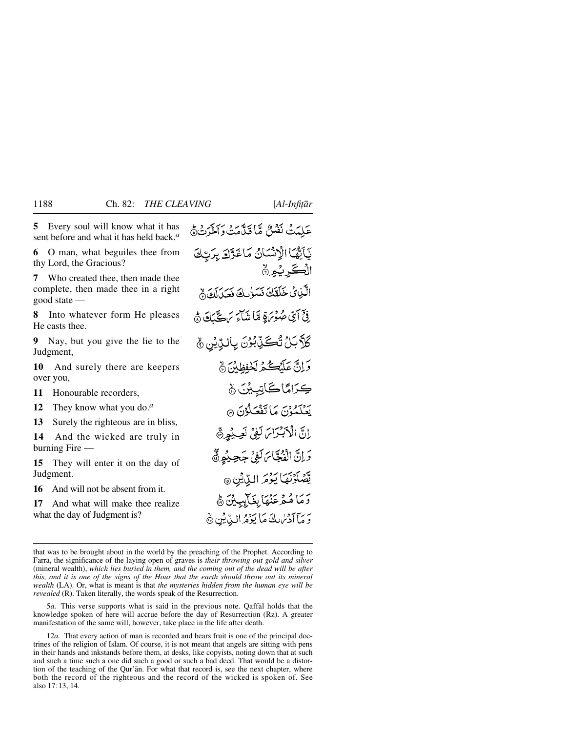**5** Every soul will know what it has sent before and what it has held back.*<sup>a</sup>*

**6** O man, what beguiles thee from thy Lord, the Gracious?

**7** Who created thee, then made thee complete, then made thee in a right good state —

**8** Into whatever form He pleases He casts thee.

**9** Nay, but you give the lie to the Judgment,

**10** And surely there are keepers over you,

**11** Honourable recorders,<br>**12** They know what you den

**12** They know what you do.*<sup>a</sup>*

**13** Surely the righteous are in bliss,<br>**14** And the wicked are truly in

**14** And the wicked are truly in burning Fire —

**15** They will enter it on the day of Judgment.

**16** And will not be absent from it.<br>**17** And what will make thee rea

**17** And what will make thee realize what the day of Judgment is?

عَلِيْتُ نَفْسٌ مَّا قَيَّامَتْ وَاخْرَتْهُمْ يَأَيُّهَا الْإِنْسَانُ مَاغَرَّادَ بِرَبِّكَ الْكَبِرِيْمِرْهِ الَّذِيْ ضَلَقَكَ نَسَوُّلُ فَصَلَلَكَ ﴾ فِيِّ أَيِّ صُوْبَرَةٍ مَّا نَهُ آَيَ مَ ڪَيَبَكَ هُ **كَلَّابَلُ تُكَنِّبُوْنَ بِالَّذِيْنِ** ﴾ وَإِنَّ عَلَيْكُمُ لَحْفِظِينَ ﴾ كِرَامًاكَاتِبِينَ ﴾ روسود.<br>بْعَلْمُوْنَ مَا تَفْعَلُوْنَ ۞ اِنَّ الْأَبْتَرَامَ لَفِيْ نَصِيْعِهِ وَإِنَّ الْفَجَّاسَ لَفِي جَحِيْهِ ﴾ يَّصُلَوْنَهَا يَوْمَ الدِّيْنِ @ وَمَا هُمْ عَنْهَا بِغَالِبِيِّنَ ﴾ وَمَا آدَسْكَ مَا يَؤْثِرُ الدِّيْنِ ﴾

that was to be brought about in the world by the preaching of the Prophet. According to Farrå, the significance of the laying open of graves is *their throwing out gold and silver* (mineral wealth), *which lies buried in them, and the coming out of the dead will be after this, and it is one of the signs of the Hour that the earth should throw out its mineral wealth* (LA). Or, what is meant is that *the mysteries hidden from the human eye will be revealed* (R). Taken literally, the words speak of the Resurrection.

5*a.* This verse supports what is said in the previous note. Qaffål holds that the knowledge spoken of here will accrue before the day of Resurrection (Rz). A greater manifestation of the same will, however, take place in the life after death.

12*a.* That every action of man is recorded and bears fruit is one of the principal doctrines of the religion of Islåm. Of course, it is not meant that angels are sitting with pens in their hands and inkstands before them, at desks, like copyists, noting down that at such and such a time such a one did such a good or such a bad deed. That would be a distortion of the teaching of the Qur'ån. For what that record is, see the next chapter, where both the record of the righteous and the record of the wicked is spoken of. See also 17:13, 14.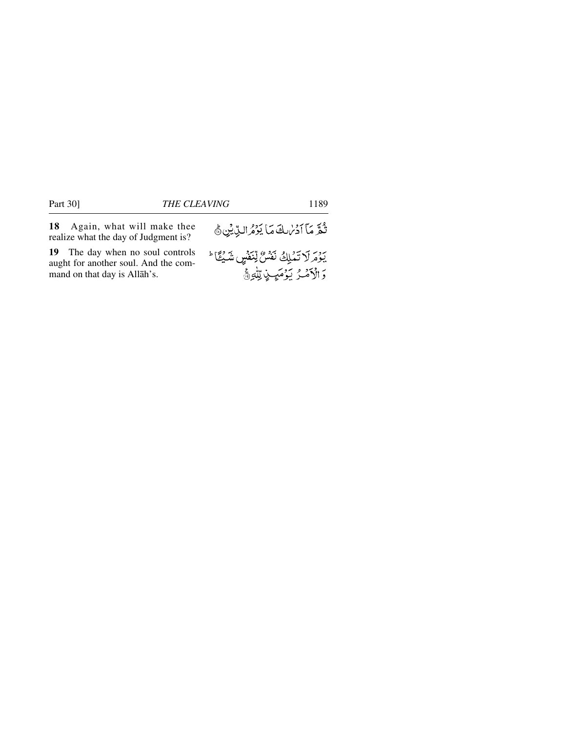**18** Again, what will make thee realize what the day of Judgment is?

**19** The day when no soul controls aught for another soul. And the command on that day is Allåh's.

| ثُمَّ مَا آدُمُ لَكَ مَا يَوْمُ الدِّيْنِ ﴾ |  |  |
|---------------------------------------------|--|--|
|                                             |  |  |

يَوْمَ لَا تَمْلِكُ نَفْسٌ لِّنَفْسٍ شَيْئًا ۚ وَ الْأَهْدُ يَوْمَيِ لِإِلَيْهِ مَنَّ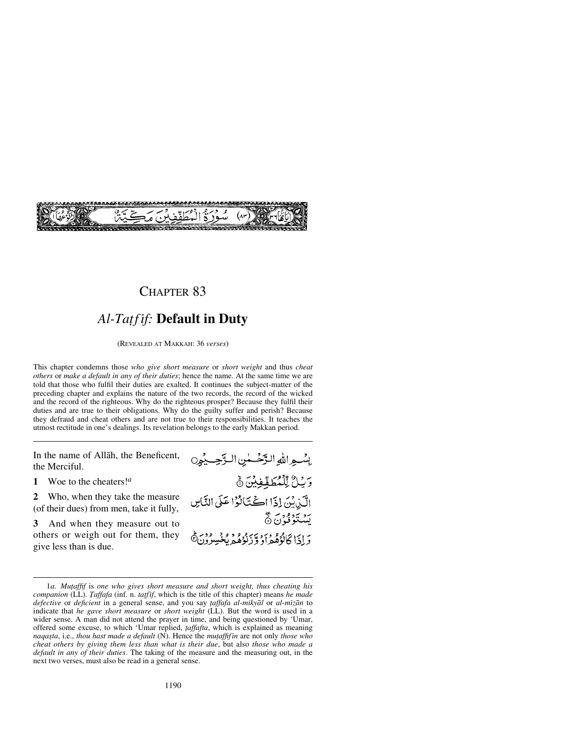

## *Al-Ta∆f ßf:* **Default in Duty**

(REVEALED AT MAKKAH: 36 *verses*)

This chapter condemns those *who give short measure* or *short weight* and thus *cheat others* or *make a default in any of their duties*; hence the name. At the same time we are told that those who fulfil their duties are exalted. It continues the subject-matter of the preceding chapter and explains the nature of the two records, the record of the wicked and the record of the righteous. Why do the righteous prosper? Because they fulfil their duties and are true to their obligations. Why do the guilty suffer and perish? Because they defraud and cheat others and are not true to their responsibilities. It teaches the utmost rectitude in one's dealings. Its revelation belongs to the early Makkan period.

In the name of Allåh, the Beneficent, the Merciful.

**1** Woe to the cheaters!*<sup>a</sup>*

**2** Who, when they take the measure (of their dues) from men, take it fully,

**3** And when they measure out to others or weigh out for them, they give less than is due.

بِسْبِهِ اللَّهِ الرَّحْسَنِينِ البَّحِسِيْنِينِ وَيَانٌ لِّلْمُطَفِّفِيْنَ نَّ الَّذِيْنَ إِذَا الْحُتَالُوْا عَلَى النَّاسِ بَيْنَتَوَفَوْنَ۞ به اي ان د و سر د و د و د و د<br>و اي انجادهم او و د نوهيد بخس

<sup>1</sup>*a. Mu∆affif* is *one who gives short measure and short weight, thus cheating his companion* (LL). *Taffafa* (inf. n. *tatfif*, which is the title of this chapter) means *he made defective* or *deficient* in a general sense, and you say *∆affafa al-mikyål* or *al-mßzån* to indicate that *he gave short measure* or *short weight* (LL). But the word is used in a wider sense. A man did not attend the prayer in time, and being questioned by 'Umar, offered some excuse, to which 'Umar replied, *∆affafta*, which is explained as meaning *naqa©ta*, i.e., *thou hast made a default* (N). Hence the *mu∆affifßn* are not only *those who cheat others by giving them less than what is their due*, but also *those who made a default in any of their duties*. The taking of the measure and the measuring out, in the next two verses, must also be read in a general sense.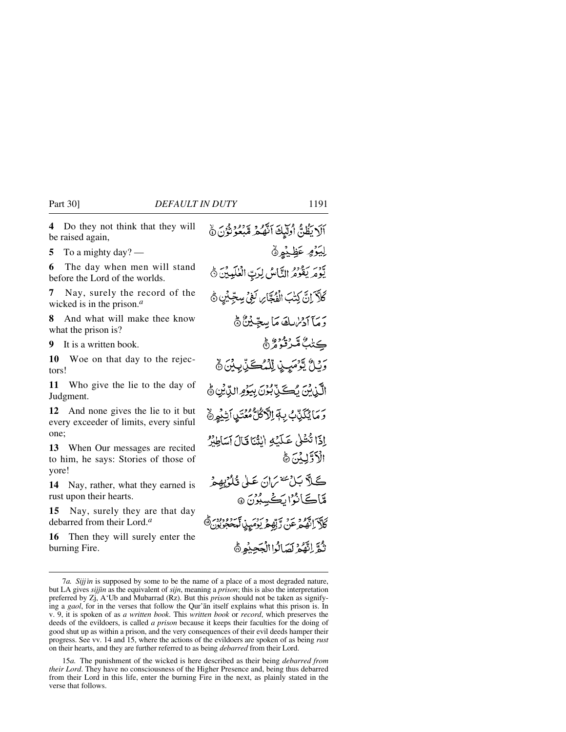**4** Do they not think that they will be raised again,

**5** To a mighty day? —

**6** The day when men will stand before the Lord of the worlds.

**7** Nay, surely the record of the wicked is in the prison.*<sup>a</sup>*

**8** And what will make thee know what the prison is?

**9** It is a written book.

**10** Woe on that day to the rejectors!

**11** Who give the lie to the day of Judgment.

**12** And none gives the lie to it but every exceeder of limits, every sinful one;

**13** When Our messages are recited to him, he says: Stories of those of yore!

**14** Nay, rather, what they earned is rust upon their hearts.

**15** Nay, surely they are that day debarred from their Lord.*<sup>a</sup>*

**16** Then they will surely enter the burning Fire.

اَلَا يَظُنَّ أُولِّيكَ اَنَّهُمْ مُّبْعُوُنُوْنَ نَّ لِيَوۡهِ عَظِيۡهِیۡ يَّوْمَرِ يَقُوْمُ الثَّاسُ لِرَبِّ الْعٰلَيِيْنَ ﴾ كَلاَّ إِنَّ كِتْبَ الْفُجَّا*َرِ، لَ*فِي سِجِّيْنِ  $\delta$ رَمَآ اَدْيُرْسِكَ مَاۤ سِجِّيْنٌ ﴾ ڪڻ*ڊُ مُ*َرثو*وڻُ* ۾ وَيُلُّ يَرْمَىٍ لِإِلَٰهُ كَنِّ بِيْنَ  $\delta$ الَّيْنِينَ يُكَيِّنِّ بُنُوَى بِيَوْمِ الدِّيْنِ ﴾ <u>وَمَائِكَيْنَ بِهَالَاكُلُّ مُعْتَبِيا أَشْهُرِهِ</u> إذَا تُثْلَىٰ عَلَيْهِ اللَّهَ ۚ فَالَ آسَاطِيْرُ الأذَلِّيْبُنَ ١٥ كَلاَّ بَلْ<sup>سَنة</sup> مَانَ عَلَىٰ قُلُوْيِهِمْ مَّاڪَانُوُارَڪُسِبُو*نَ* @ رس پورو تر ترتيم برس ترورون<sup>4</sup> نْهَ إِنَّهُمْ لَصَالُوا الْعَصِنُو ﴾

<sup>7</sup>*a. Sijjßn* is supposed by some to be the name of a place of a most degraded nature, but LA gives *sijjßn* as the equivalent of *sijn*, meaning a *prison*; this is also the interpretation preferred by Zj, A'Ub and Mubarrad (Rz). But this *prison* should not be taken as signifying a *gaol*, for in the verses that follow the Qur'ån itself explains what this prison is. In v. 9, it is spoken of as *a written book*. This *written book* or *record*, which preserves the deeds of the evildoers, is called *a prison* because it keeps their faculties for the doing of good shut up as within a prison, and the very consequences of their evil deeds hamper their progress. See vv. 14 and 15, where the actions of the evildoers are spoken of as being *rust* on their hearts, and they are further referred to as being *debarred* from their Lord.

<sup>15</sup>*a.* The punishment of the wicked is here described as their being *debarred from their Lord*. They have no consciousness of the Higher Presence and, being thus debarred from their Lord in this life, enter the burning Fire in the next, as plainly stated in the verse that follows.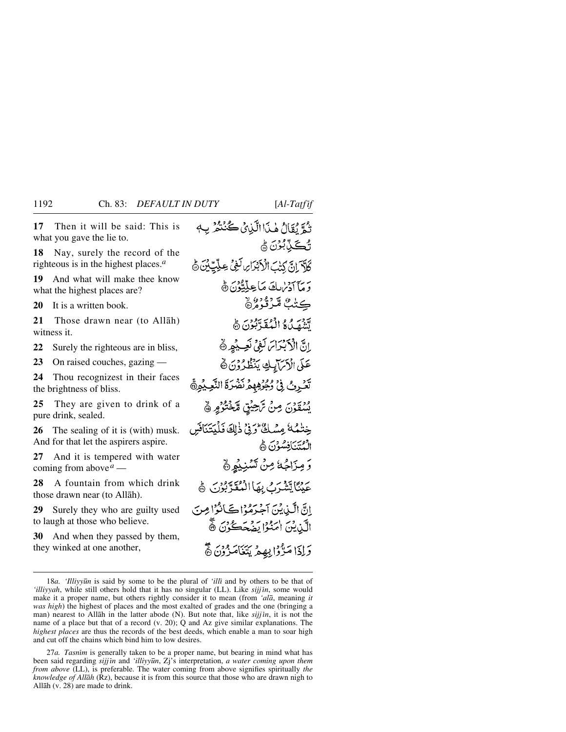**17** Then it will be said: This is what you gave the lie to.

**18** Nay, surely the record of the righteous is in the highest places.*<sup>a</sup>*

**19** And what will make thee know what the highest places are?

**20** It is a written book.

**21** Those drawn near (to Allåh) witness it.

**22** Surely the righteous are in bliss,

**23** On raised couches, gazing —

**24** Thou recognizest in their faces the brightness of bliss.

**25** They are given to drink of a pure drink, sealed.

**26** The sealing of it is (with) musk. And for that let the aspirers aspire.

**27** And it is tempered with water coming from above*<sup>a</sup>* —

**28** A fountain from which drink those drawn near (to Allåh).

**29** Surely they who are guilty used to laugh at those who believe.

**30** And when they passed by them, they winked at one another,

تُمَّ يُقَالُ مٰذَاالَّذِينُ كُنُنْتُمْرِ بِ4 **ئڪٽ**بُرن ۾ كَلَّةَ إِنَّ كَتْبَ الْأَبْدَارِ لَغِي عِلَيْتِ بِنَ ﴾ ير ما آدربك مَا عِلَّةٌ وَرَبَّ هَ ڪڻُٺُ مُنَرَّثُوهُ۞ وبر و و المقابون هي إِنَّ الْأَبْدَامَ لَغِيٌّ نَعِيدُهِ ﴾ عَلَى الْأَمَالِيكِ يَنْظُرُوْنَ ﴾ تَكْرِثُ فِيُ رُجُرُهِهِمْ نَضْرَةَ النَّعِيْمِيُّ وَرْدَيْنِ مِنْ تَرْحِيْقِ مَّخْتُوْمِر ﴾ خِنْبُهُ كَيْ مِسْكَةٌ وَفِي ذَلِكَ فَلْيَتَنَافَسَ الْمُتَنَافِسُوْنَ ﴾ وَمِزَاجُهُ مِنْ تَسْنِيُهِي بِرْدِيَّاتِيَّةً بِرَحْ بِهَا الْمُقَدَّبُوْنَ ﴾ إِنَّ الَّيْدِينَ آَجْرَهُوْا كَانُوْا مِنَ الَّذِيْنَ امَنْوْا يَضُحَكُوْنَ ﴾ وَإِذَا مَدَّوْا بِهِيمْ يَتَغَامَزُونَ ۞

27*a. Tasnim* is generally taken to be a proper name, but bearing in mind what has been said regarding *sijjīn* and '*illiyyūn*, Zj's interpretation, *a water coming upon them from above* (LL), is preferable. The water coming from above signifies spiritually *the knowledge of Allåh* (Rz), because it is from this source that those who are drawn nigh to Allåh (v. 28) are made to drink.

<sup>18</sup>*a. 'Illiyyūn* is said by some to be the plural of 'illi and by others to be that of *'illiyyah*, while still others hold that it has no singular (LL). Like *sijjin*, some would make it a proper name, but others rightly consider it to mean (from *'alå*, meaning *it was high*) the highest of places and the most exalted of grades and the one (bringing a man) nearest to Allāh in the latter abode (N). But note that, like *sijj in*, it is not the name of a place but that of a record (v. 20); Q and Az give similar explanations. The *highest places* are thus the records of the best deeds, which enable a man to soar high and cut off the chains which bind him to low desires.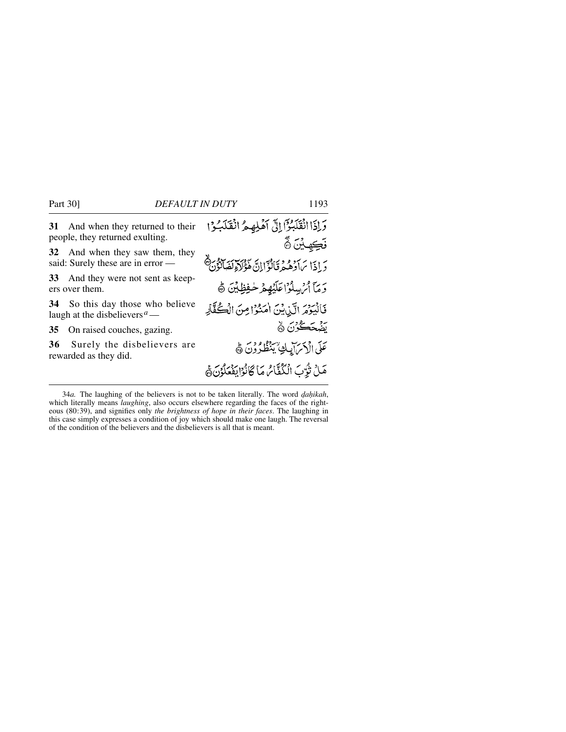| 31 And when they returned to their<br>people, they returned exulting.                        | وَإِذَا انْقَلَبُوْٓا إِلَىٰ أَهْلِهِ مُ انْقَلَبُوْا<br>فَكِهِ بُنَ $\tilde{\mathbb{S}}$ |
|----------------------------------------------------------------------------------------------|-------------------------------------------------------------------------------------------|
| 32 And when they saw them, they<br>said: Surely these are in error —                         | وَ إِذَا بِمَادَهُمْ وَالْوَّالِيَّ هَؤُلاَةِ لَصَاتَوْنَ                                 |
| 33 And they were not sent as keep-<br>ers over them.                                         | وَمَآ أَمْ سِلُوۡ الْمَلَيۡهِمۡ لَّحۡفِظِيۡنَ ﴾                                           |
| So this day those who believe<br>34<br>laugh at the disbelievers <sup><math>a</math></sup> — | فَالْيَوْمَرِ الَّذِنِيْنَ اٰمَنُوْا مِنَ الْكُفَّارِ                                     |
| On raised couches, gazing.<br>35                                                             | تقبحگین ک                                                                                 |
| Surely the disbelievers are<br>36<br>rewarded as they did.                                   | عَلَى الْأَسَ إِبِكِ يَنْظُرُونَ ﴾                                                        |
|                                                                                              | هَلْ تُرَّبَ الْكُفَّامُ مَا كَانْوُا يَفْعَلُوْنَ هَ                                     |

34*a*. The laughing of the believers is not to be taken literally. The word *dahikah*, which literally means *laughing*, also occurs elsewhere regarding the faces of the righteous (80:39), and signifies only *the brightness of hope in their faces*. The laughing in this case simply expresses a condition of joy which should make one laugh. The reversal of the condition of the believers and the disbelievers is all that is meant.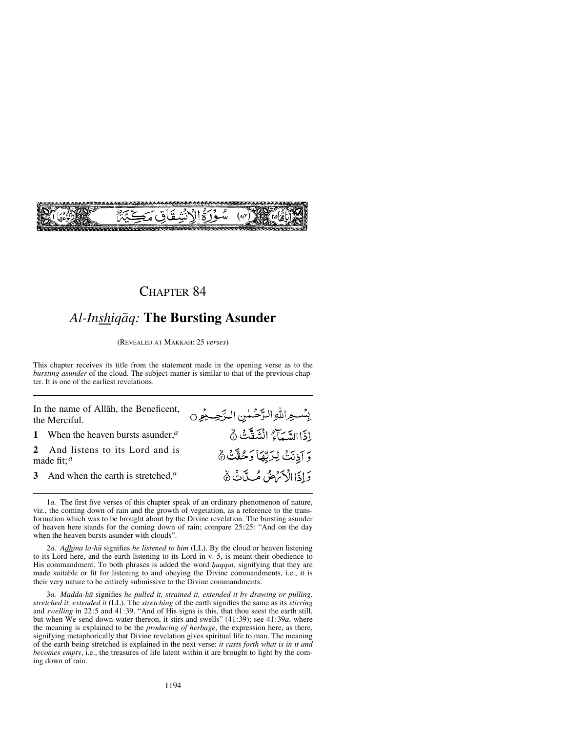

# *Al-Inshiqåq:* **The Bursting Asunder**

(REVEALED AT MAKKAH: 25 *verses*)

This chapter receives its title from the statement made in the opening verse as to the *bursting asunder* of the cloud. The subject-matter is similar to that of the previous chapter. It is one of the earliest revelations.

بِسْهِ اللهِ الرَّحْمٰنِ الرَّحِيمُوِن

إِذَا السَّيَاءُ انْشَقَّتْ نَّ

وَ اَذِنَتْ لِرَبِّهَا وَحُقَّتْ ﴾

وَإِذَا الْأَمْرَضُ مُسَدَّنَ هُ

In the name of Allåh, the Beneficent, the Merciful.

**1** When the heaven bursts asunder,*<sup>a</sup>*

**2** And listens to its Lord and is made fit; *<sup>a</sup>*

**3** And when the earth is stretched,*<sup>a</sup>*

1*a.* The first five verses of this chapter speak of an ordinary phenomenon of nature, viz., the coming down of rain and the growth of vegetation, as a reference to the transformation which was to be brought about by the Divine revelation. The bursting asunder of heaven here stands for the coming down of rain; compare 25:25: "And on the day when the heaven bursts asunder with clouds".

2*a. Adhina la-h∂* signifies *he listened to him* (LL). By the cloud or heaven listening to its Lord here, and the earth listening to its Lord in v. 5, is meant their obedience to His commandment. To both phrases is added the word *<i>µuqqat*, signifying that they are made suitable or fit for listening to and obeying the Divine commandments, i.e., it is their very nature to be entirely submissive to the Divine commandments.

3*a. Madda-h∂* signifies *he pulled it, strained it, extended it by drawing or pulling, stretched it, extended it* (LL). The *stretching* of the earth signifies the same as its *stirring* and *swelling* in 22:5 and 41:39. "And of His signs is this, that thou seest the earth still, but when We send down water thereon, it stirs and swells" (41:39); see 41:39*a*, where the meaning is explained to be the *producing of herbage*, the expression here, as there, signifying metaphorically that Divine revelation gives spiritual life to man. The meaning of the earth being stretched is explained in the next verse: *it casts forth what is in it and becomes empty*, i.e., the treasures of life latent within it are brought to light by the coming down of rain.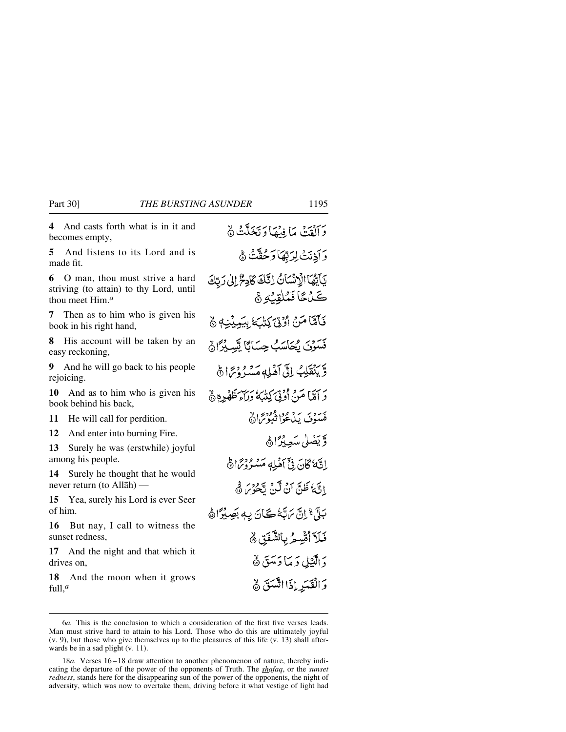**4** And casts forth what is in it and becomes empty,

**5** And listens to its Lord and is made fit.

**6** O man, thou must strive a hard striving (to attain) to thy Lord, until thou meet Him.*<sup>a</sup>*

**7** Then as to him who is given his book in his right hand,

**8** His account will be taken by an easy reckoning,

**9** And he will go back to his people rejoicing.

**10** And as to him who is given his book behind his back,

**11** He will call for perdition.

**12** And enter into burning Fire.

**13** Surely he was (erstwhile) joyful among his people.

**14** Surely he thought that he would never return (to Allåh) —

**15** Yea, surely his Lord is ever Seer of him.

**16** But nay, I call to witness the sunset redness,

**17** And the night and that which it drives on

**18** And the moon when it grows full,*<sup>a</sup>*

وَأَلْقَتْ مَا فِيهَا وَتَخَلَّتُ ﴾ وَأَذِنَتْ لِرَبَّهَا وَحُقَّتْ هُ يَآَيَّهَا الْإِنْسَانُ إِنَّكَ كَادِعُ إِلَىٰ رَبَّكَ كَ نَ فَمُلْقِنُهِ ﴾ فَأَمَّاً مَنْ أَوْتِيَ كِتْبَ بِيَمِيْنِهِ ﴾ فَسَوْيَ يُجَاسَبُ حِسَابًا تَسِيْرًا لَهُ وَّ يَنْقَلِبُ إِلَّىٰ أَهْلِهِ مَسْهُ دُنِيًّا ﴾ رَ أَمَّا مَنْ أُوْتِيَ كِنْبَهُ وَرَاءَ ظَهْرِهِ ۞ مَسوفٍ بِدَوْمٍ وَهُوْمِ الْهَ وَيَضَلَّى سَعِيْرًاهُ إِنَّهُ كَانَ فِيَّ أَهْلِهِ مَسْنُرُدْتَمَا هَ إِنَّهُ ظَنَّ آنُ لَّنْ يَّحْرُسَ ثَّه بَلَّ ۚ إِنَّ يَهَبَّهُ كَانَ بِهِ بَصِيْرًا ﴾ فَلَآ أُتَّسِعُ بِالشَّفَقِ ﴾ دَ الَّذِيلِ دَ مَا دَسَقَ ﴾ وَالْقَدَرِ إِذَا اتَّسَقَ ﴾

<sup>6</sup>*a.* This is the conclusion to which a consideration of the first five verses leads. Man must strive hard to attain to his Lord. Those who do this are ultimately joyful (v. 9), but those who give themselves up to the pleasures of this life (v. 13) shall afterwards be in a sad plight (v. 11).

<sup>18</sup>*a*. Verses 16–18 draw attention to another phenomenon of nature, thereby indicating the departure of the power of the opponents of Truth. The *shafaq*, or the *sunset redness*, stands here for the disappearing sun of the power of the opponents, the night of adversity, which was now to overtake them, driving before it what vestige of light had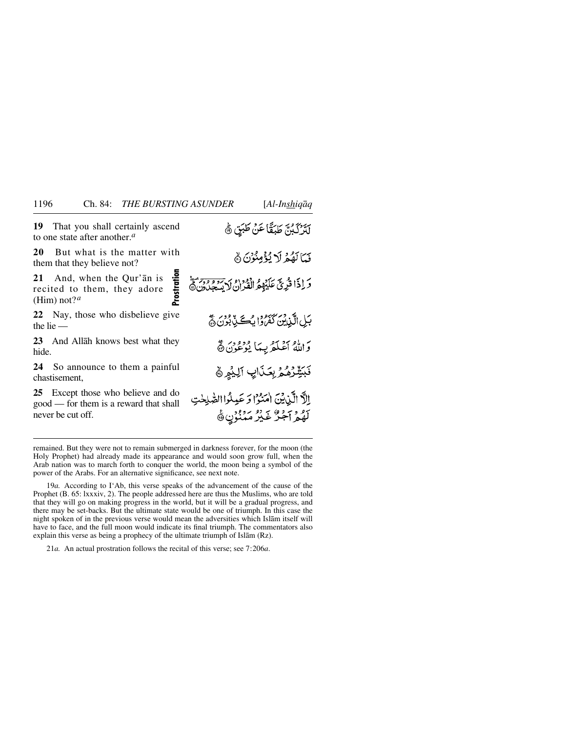**Prostration**

rostration

**19** That you shall certainly ascend to one state after another.*<sup>a</sup>*

**20** But what is the matter with them that they believe not?

**21** And, when the Qur'ån is recited to them, they adore (Him) not?*<sup>a</sup>*

**22** Nay, those who disbelieve give the lie —

**23** And Allåh knows best what they hide.

**24** So announce to them a painful chastisement,

**25** Except those who believe and do good — for them is a reward that shall never be cut off.

لَّتَرَكْبُنَّ طَبَقًا عَنْ طَبَقٍ ﴾ فَيَا لَقُوْ لَا يُؤْمِنُوْنَ ﴾ وَ إِذَا قُرِيَّ عَلَيْهِمُّ الْقُرَانُ لِأَيْسَجِبُ وَمُتَمَسَّ بَيْلِ الَّذِينَ كَفَرُوا بِسُكَيْدٍ بُوْنَ ۞ وَاللَّهُ أَعْلَمُ بِيمَا يُوْعُوْنَ ﴾ فَبَيِّنْرُهُمْ بِعَذَابٍ اَلِيْهِمْ ﴾ الَّا الَّيْنِيْنَ امْنَوْا وَ عَيِلُوا الصَّٰلِحْتِ 79 و آجر عَيْرُ مَمْنُوْنِ ﴾

remained. But they were not to remain submerged in darkness forever, for the moon (the Holy Prophet) had already made its appearance and would soon grow full, when the Arab nation was to march forth to conquer the world, the moon being a symbol of the power of the Arabs. For an alternative significance, see next note.

19*a.* According to I'Ab, this verse speaks of the advancement of the cause of the Prophet (B. 65: lxxxiv, 2). The people addressed here are thus the Muslims, who are told that they will go on making progress in the world, but it will be a gradual progress, and there may be set-backs. But the ultimate state would be one of triumph. In this case the night spoken of in the previous verse would mean the adversities which Islåm itself will have to face, and the full moon would indicate its final triumph. The commentators also explain this verse as being a prophecy of the ultimate triumph of Islåm (Rz).

21*a.* An actual prostration follows the recital of this verse; see 7:206*a*.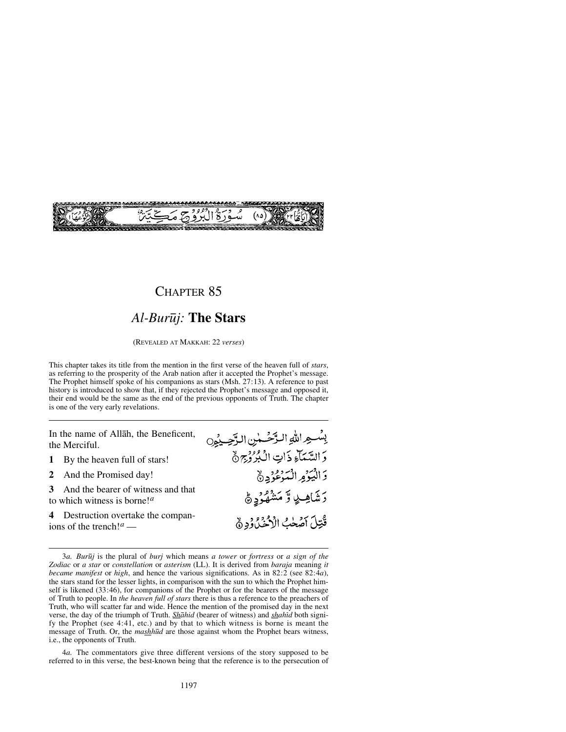

## *Al-Bur∂j:* **The Stars**

(REVEALED AT MAKKAH: 22 *verses*)

This chapter takes its title from the mention in the first verse of the heaven full of *stars*, as referring to the prosperity of the Arab nation after it accepted the Prophet's message. The Prophet himself spoke of his companions as stars (Msh. 27:13). A reference to past history is introduced to show that, if they rejected the Prophet's message and opposed it, their end would be the same as the end of the previous opponents of Truth. The chapter is one of the very early revelations.

In the name of Allåh, the Beneficent, the Merciful.

- **1** By the heaven full of stars!
- **2** And the Promised day!

**3** And the bearer of witness and that to which witness is borne!*<sup>a</sup>*

**4** Destruction overtake the companions of the trench!*<sup>a</sup>* —

4*a.* The commentators give three different versions of the story supposed to be referred to in this verse, the best-known being that the reference is to the persecution of

بِسْعِ اللَّهِ الرَّحْسُنِ الرَّحِينُونَ دَ السَّمَآءِ ذَاتِ الْبُرُوْجِ ٥ وَالْيُؤْمِ الْتَوْعُوُدِ ﴾ رَشَاهِـــلِي وَّ مَشْهُوُدٍ ﴾ قُتِلَ أَصْلَبُ الْأَخْذَاؤُدِ ﴾

<sup>3</sup>*a. Bur∂j* is the plural of *burj* which means *a tower* or *fortress* or *a sign of the Zodiac* or *a star* or *constellation* or *asterism* (LL). It is derived from *baraja* meaning *it became manifest* or *high*, and hence the various significations. As in 82:2 (see 82:4*a*), the stars stand for the lesser lights, in comparison with the sun to which the Prophet himself is likened (33:46), for companions of the Prophet or for the bearers of the message of Truth to people. In *the heaven full of stars* there is thus a reference to the preachers of Truth, who will scatter far and wide. Hence the mention of the promised day in the next verse, the day of the triumph of Truth. *Shåhid* (bearer of witness) and *shahßd* both signify the Prophet (see 4:41, etc.) and by that to which witness is borne is meant the message of Truth. Or, the *mashh∂d* are those against whom the Prophet bears witness, i.e., the opponents of Truth.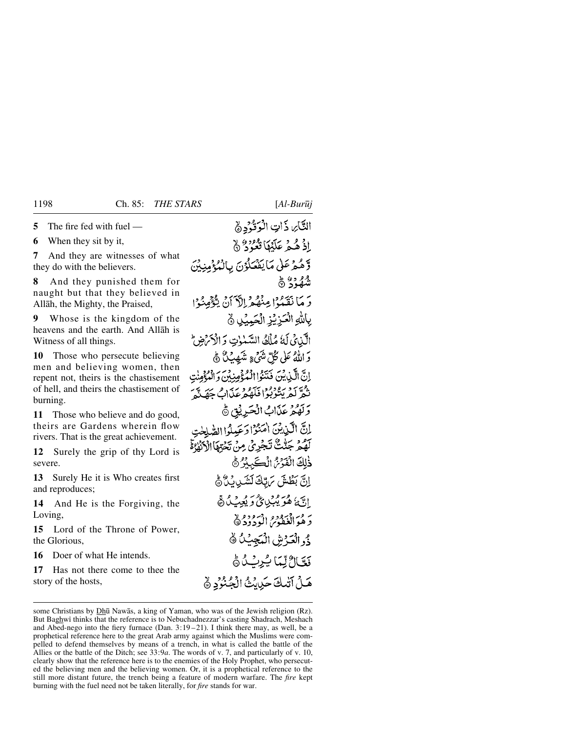**5** The fire fed with fuel —

**6** When they sit by it,

**7** And they are witnesses of what they do with the believers.

**8** And they punished them for naught but that they believed in Allåh, the Mighty, the Praised,

**9** Whose is the kingdom of the heavens and the earth. And Allåh is Witness of all things.

**10** Those who persecute believing men and believing women, then repent not, theirs is the chastisement of hell, and theirs the chastisement of burning.

**11** Those who believe and do good, theirs are Gardens wherein flow rivers. That is the great achievement.

**12** Surely the grip of thy Lord is severe.

**13** Surely He it is Who creates first and reproduces;

**14** And He is the Forgiving, the Loving,

**15** Lord of the Throne of Power, the Glorious,

**16** Doer of what He intends.

**17** Has not there come to thee the story of the hosts,

# التَّايِ ذَاتِ الْوَقُّدْدِهِ إِذْ هُمْ عَلَيْهَا قُعُوْدٌ ۞ وَّهُ هُمْ عَلَىٰ مَا يَفْصَلُوْنَ بِالْمُدْءُمِنِيْنَ شُهُدُ؟ ۞ دَ مَا نَقَبُوْا مِنْهُمْ الْآَيَانُ يَتَّوْمِنُوْا بِاللَّهِ الْعَزِيْزِ الْجَبِيِّنِ ﴾ الَّذِيْ لَهُ مُلْكُ السَّنْوٰتِ وَالْأَكْرَضِ دَ اللَّهُ عَلَى كُلِّ شَيْءٍ شَهْدِيْنٌ ﴾ إِنَّ الَّيْدِينَ فَنَتَوُّا الْمُؤْمِنِيْنَ وَالْمُؤْمِنَٰتِ دوي د رودود سره د بر د حديد<br>نفر لعريشوبوا فلهفرغذان جهَند وَلَهُمْ عَذَابٌ الْحَرِيْقِ ﴾ لِكَّ الَّيْدِيْنَ اٰمَنُوْا دَعَيلُوا الصَّلِحٰتِ بَصْرٌ جَنَّتْ تَجْرِيْ مِنْ تَجْهَاْ الْأَلْمَٰهُ قَمَّ ذٰلِكَ الْفَدَّمْ الْكَسِكْرُ ﴾ انَّ بَطَّشَ مَ بَّكَ لَشَيْ بِنَ ُ هَ الَّهَ هُوَ يُبۡيِي کُ وَ يُعِبُ کُ هُ بَرِ مَ الْغَفْوَمُ الْمَوْدُو لَا دُو الْعَدْشِ الْمَجِيبُ كُ فَعَالٌ لِّمَا يُرِبُ هُ هَلْ آتْبِكَ حَيْابُتُ الْحُنْوُدِ ﴾

some Christians by Dhū Nawās, a king of Yaman, who was of the Jewish religion (Rz). But Baghwi thinks that the reference is to Nebuchadnezzar's casting Shadrach, Meshach and Abed-nego into the fiery furnace (Dan.  $3:19-21$ ). I think there may, as well, be a prophetical reference here to the great Arab army against which the Muslims were compelled to defend themselves by means of a trench, in what is called the battle of the Allies or the battle of the Ditch; see 33:9*a*. The words of v. 7, and particularly of v. 10, clearly show that the reference here is to the enemies of the Holy Prophet, who persecuted the believing men and the believing women. Or, it is a prophetical reference to the still more distant future, the trench being a feature of modern warfare. The *fire* kept burning with the fuel need not be taken literally, for *fire* stands for war.